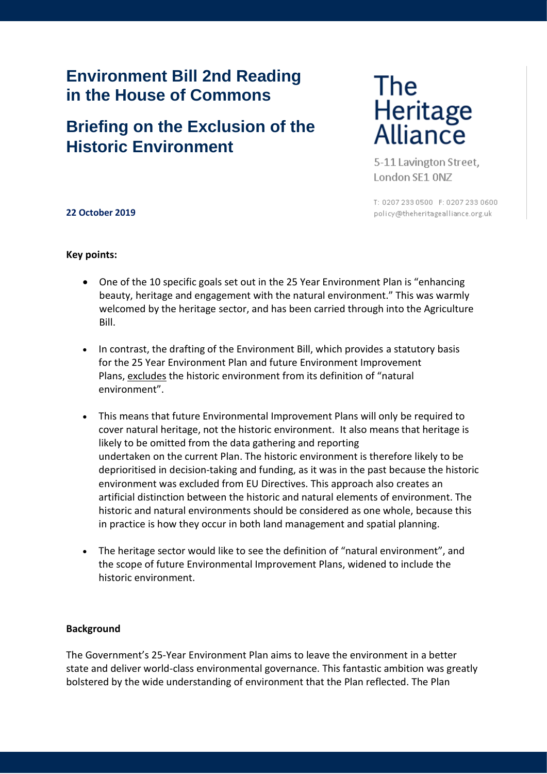## **Environment Bill 2nd Reading in the House of Commons**

# **Briefing on the Exclusion of the Historic Environment**

# The Heritage<br>Alliance

5-11 Lavington Street, London SE1 ONZ

T: 0207 233 0500 F: 0207 233 0600 policy@theheritagealliance.org.uk

## **22 October 2019**

### **Key points:**

- One of the 10 specific goals set out in the 25 Year Environment Plan is "enhancing beauty, heritage and engagement with the natural environment." This was warmly welcomed by the heritage sector, and has been carried through into the Agriculture Bill.
- In contrast, the drafting of the Environment Bill, which provides a statutory basis for the 25 Year Environment Plan and future Environment Improvement Plans, excludes the historic environment from its definition of "natural environment".
- This means that future Environmental Improvement Plans will only be required to cover natural heritage, not the historic environment. It also means that heritage is likely to be omitted from the data gathering and reporting undertaken on the current Plan. The historic environment is therefore likely to be deprioritised in decision-taking and funding, as it was in the past because the historic environment was excluded from EU Directives. This approach also creates an artificial distinction between the historic and natural elements of environment. The historic and natural environments should be considered as one whole, because this in practice is how they occur in both land management and spatial planning.
- The heritage sector would like to see the definition of "natural environment", and the scope of future Environmental Improvement Plans, widened to include the historic environment.

#### **Background**

The Government's 25-Year Environment Plan aims to leave the environment in a better state and deliver world-class environmental governance. This fantastic ambition was greatly bolstered by the wide understanding of environment that the Plan reflected. The Plan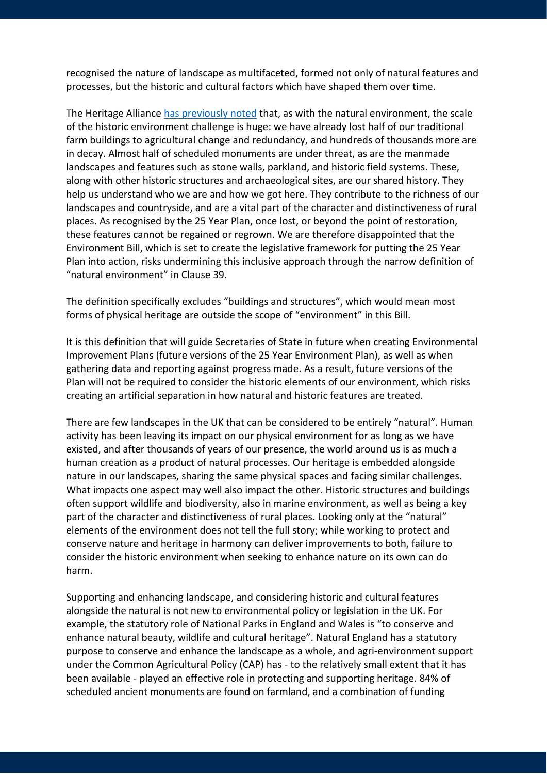recognised the nature of landscape as multifaceted, formed not only of natural features and processes, but the historic and cultural factors which have shaped them over time.

The Heritage Alliance [has previously noted](https://emea01.safelinks.protection.outlook.com/?url=https%3A%2F%2Femail.premmdesign.co.uk%2Ft%2Fr-l-jtiuhrkd-irthdjtddh-c%2F&data=02%7C01%7CGeorgina.HolmesSkelton%40nationaltrust.org.uk%7Cd2a7613d1cc9444a0f5f08d68de23ca6%7C0fba79b96423460d88eff9c3d4ca2e9f%7C0%7C0%7C636852401537444821&sdata=O66pZfzEW1pWX%2BBExnAH70CPABgXKaFxvig7C9aAVb8%3D&reserved=0) that, as with the natural environment, the scale of the historic environment challenge is huge: we have already lost half of our traditional farm buildings to agricultural change and redundancy, and hundreds of thousands more are in decay. Almost half of scheduled monuments are under threat, as are the manmade landscapes and features such as stone walls, parkland, and historic field systems. These, along with other historic structures and archaeological sites, are our shared history. They help us understand who we are and how we got here. They contribute to the richness of our landscapes and countryside, and are a vital part of the character and distinctiveness of rural places. As recognised by the 25 Year Plan, once lost, or beyond the point of restoration, these features cannot be regained or regrown. We are therefore disappointed that the Environment Bill, which is set to create the legislative framework for putting the 25 Year Plan into action, risks undermining this inclusive approach through the narrow definition of "natural environment" in Clause 39.

The definition specifically excludes "buildings and structures", which would mean most forms of physical heritage are outside the scope of "environment" in this Bill.

It is this definition that will guide Secretaries of State in future when creating Environmental Improvement Plans (future versions of the 25 Year Environment Plan), as well as when gathering data and reporting against progress made. As a result, future versions of the Plan will not be required to consider the historic elements of our environment, which risks creating an artificial separation in how natural and historic features are treated.

There are few landscapes in the UK that can be considered to be entirely "natural". Human activity has been leaving its impact on our physical environment for as long as we have existed, and after thousands of years of our presence, the world around us is as much a human creation as a product of natural processes. Our heritage is embedded alongside nature in our landscapes, sharing the same physical spaces and facing similar challenges. What impacts one aspect may well also impact the other. Historic structures and buildings often support wildlife and biodiversity, also in marine environment, as well as being a key part of the character and distinctiveness of rural places. Looking only at the "natural" elements of the environment does not tell the full story; while working to protect and conserve nature and heritage in harmony can deliver improvements to both, failure to consider the historic environment when seeking to enhance nature on its own can do harm.

Supporting and enhancing landscape, and considering historic and cultural features alongside the natural is not new to environmental policy or legislation in the UK. For example, the statutory role of National Parks in England and Wales is "to conserve and enhance natural beauty, wildlife and cultural heritage". Natural England has a statutory purpose to conserve and enhance the landscape as a whole, and agri-environment support under the Common Agricultural Policy (CAP) has - to the relatively small extent that it has been available - played an effective role in protecting and supporting heritage. 84% of scheduled ancient monuments are found on farmland, and a combination of funding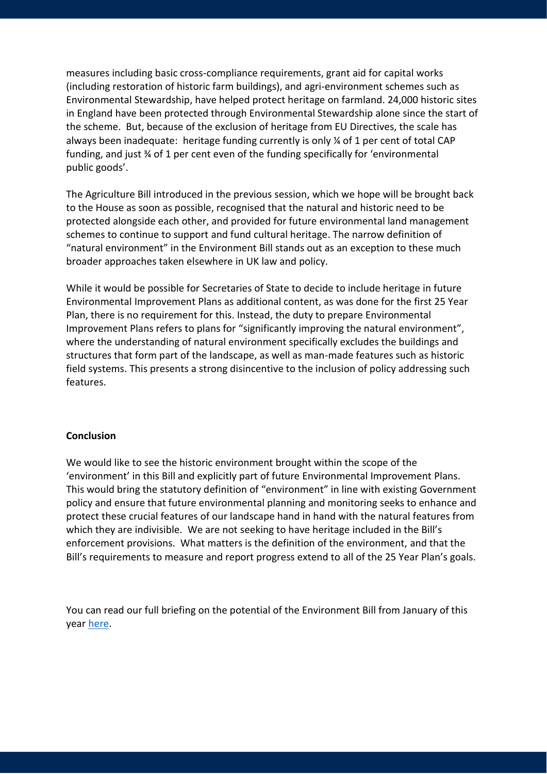measures including basic cross-compliance requirements, grant aid for capital works (including restoration of historic farm buildings), and agri-environment schemes such as Environmental Stewardship, have helped protect heritage on farmland. 24,000 historic sites in England have been protected through Environmental Stewardship alone since the start of the scheme. But, because of the exclusion of heritage from EU Directives, the scale has always been inadequate: heritage funding currently is only ¼ of 1 per cent of total CAP funding, and just ¾ of 1 per cent even of the funding specifically for 'environmental public goods'.

The Agriculture Bill introduced in the previous session, which we hope will be brought back to the House as soon as possible, recognised that the natural and historic need to be protected alongside each other, and provided for future environmental land management schemes to continue to support and fund cultural heritage. The narrow definition of "natural environment" in the Environment Bill stands out as an exception to these much broader approaches taken elsewhere in UK law and policy.

While it would be possible for Secretaries of State to decide to include heritage in future Environmental Improvement Plans as additional content, as was done for the first 25 Year Plan, there is no requirement for this. Instead, the duty to prepare Environmental Improvement Plans refers to plans for "significantly improving the natural environment", where the understanding of natural environment specifically excludes the buildings and structures that form part of the landscape, as well as man-made features such as historic field systems. This presents a strong disincentive to the inclusion of policy addressing such features.

#### **Conclusion**

We would like to see the historic environment brought within the scope of the 'environment' in this Bill and explicitly part of future Environmental Improvement Plans. This would bring the statutory definition of "environment" in line with existing Government policy and ensure that future environmental planning and monitoring seeks to enhance and protect these crucial features of our landscape hand in hand with the natural features from which they are indivisible. We are not seeking to have heritage included in the Bill's enforcement provisions. What matters is the definition of the environment, and that the Bill's requirements to measure and report progress extend to all of the 25 Year Plan's goals.

You can read our full briefing on the potential of the Environment Bill from January of this year [here.](https://www.theheritagealliance.org.uk/wp-content/uploads/2019/01/Delivering-the-25-Year-Environment-Plan.pdf)